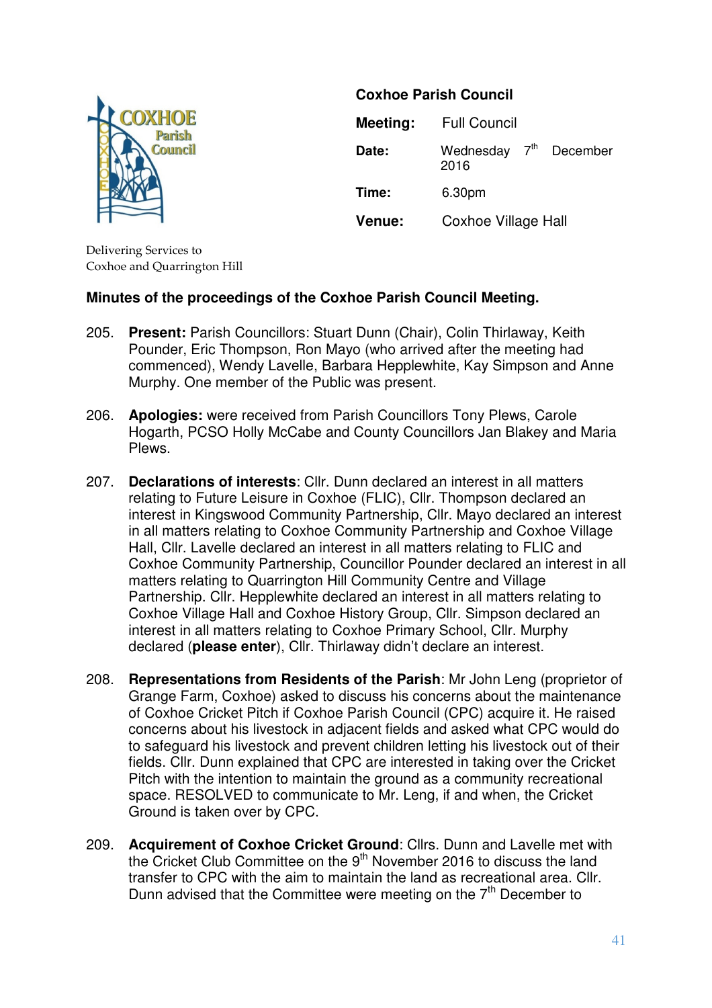

# **Coxhoe Parish Council Meeting:** Full Council

**Date:** Wednesday 7<sup>th</sup> December 2016 **Time:** 6.30pm **Venue:** Coxhoe Village Hall

Delivering Services to Coxhoe and Quarrington Hill

## **Minutes of the proceedings of the Coxhoe Parish Council Meeting.**

- 205. **Present:** Parish Councillors: Stuart Dunn (Chair), Colin Thirlaway, Keith Pounder, Eric Thompson, Ron Mayo (who arrived after the meeting had commenced), Wendy Lavelle, Barbara Hepplewhite, Kay Simpson and Anne Murphy. One member of the Public was present.
- 206. **Apologies:** were received from Parish Councillors Tony Plews, Carole Hogarth, PCSO Holly McCabe and County Councillors Jan Blakey and Maria Plews.
- 207. **Declarations of interests**: Cllr. Dunn declared an interest in all matters relating to Future Leisure in Coxhoe (FLIC), Cllr. Thompson declared an interest in Kingswood Community Partnership, Cllr. Mayo declared an interest in all matters relating to Coxhoe Community Partnership and Coxhoe Village Hall, Cllr. Lavelle declared an interest in all matters relating to FLIC and Coxhoe Community Partnership, Councillor Pounder declared an interest in all matters relating to Quarrington Hill Community Centre and Village Partnership. Cllr. Hepplewhite declared an interest in all matters relating to Coxhoe Village Hall and Coxhoe History Group, Cllr. Simpson declared an interest in all matters relating to Coxhoe Primary School, Cllr. Murphy declared (**please enter**), Cllr. Thirlaway didn't declare an interest.
- 208. **Representations from Residents of the Parish**: Mr John Leng (proprietor of Grange Farm, Coxhoe) asked to discuss his concerns about the maintenance of Coxhoe Cricket Pitch if Coxhoe Parish Council (CPC) acquire it. He raised concerns about his livestock in adjacent fields and asked what CPC would do to safeguard his livestock and prevent children letting his livestock out of their fields. Cllr. Dunn explained that CPC are interested in taking over the Cricket Pitch with the intention to maintain the ground as a community recreational space. RESOLVED to communicate to Mr. Leng, if and when, the Cricket Ground is taken over by CPC.
- 209. **Acquirement of Coxhoe Cricket Ground**: Cllrs. Dunn and Lavelle met with the Cricket Club Committee on the  $9<sup>th</sup>$  November 2016 to discuss the land transfer to CPC with the aim to maintain the land as recreational area. Cllr. Dunn advised that the Committee were meeting on the  $7<sup>th</sup>$  December to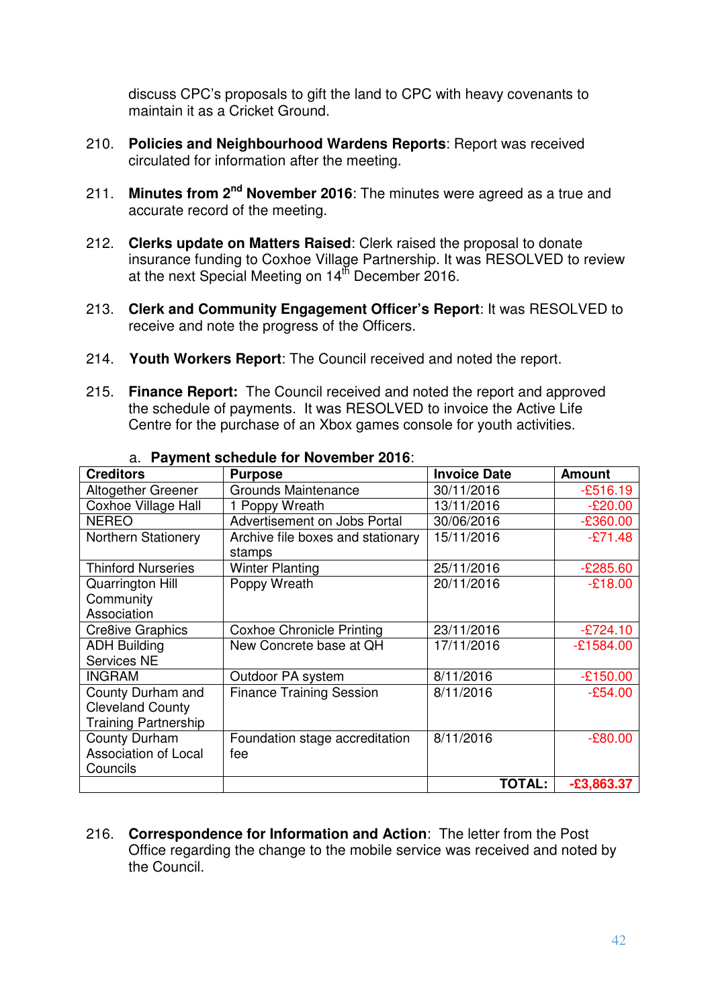discuss CPC's proposals to gift the land to CPC with heavy covenants to maintain it as a Cricket Ground.

- 210. **Policies and Neighbourhood Wardens Reports**: Report was received circulated for information after the meeting.
- 211. **Minutes from 2nd November 2016**: The minutes were agreed as a true and accurate record of the meeting.
- 212. **Clerks update on Matters Raised**: Clerk raised the proposal to donate insurance funding to Coxhoe Village Partnership. It was RESOLVED to review at the next Special Meeting on  $14<sup>th</sup>$  December 2016.
- 213. **Clerk and Community Engagement Officer's Report**: It was RESOLVED to receive and note the progress of the Officers.
- 214. **Youth Workers Report**: The Council received and noted the report.
- 215. **Finance Report:** The Council received and noted the report and approved the schedule of payments. It was RESOLVED to invoice the Active Life Centre for the purchase of an Xbox games console for youth activities.

| <b>Creditors</b>            | <b>Purpose</b>                    | <b>Invoice Date</b> | <b>Amount</b> |
|-----------------------------|-----------------------------------|---------------------|---------------|
| Altogether Greener          | <b>Grounds Maintenance</b>        | 30/11/2016          | $-£516.19$    |
| <b>Coxhoe Village Hall</b>  | 1 Poppy Wreath                    | 13/11/2016          | $-£20.00$     |
| <b>NEREO</b>                | Advertisement on Jobs Portal      | 30/06/2016          | $-£360.00$    |
| Northern Stationery         | Archive file boxes and stationary | 15/11/2016          | $-£71.48$     |
|                             | stamps                            |                     |               |
| <b>Thinford Nurseries</b>   | <b>Winter Planting</b>            | 25/11/2016          | $-£285.60$    |
| Quarrington Hill            | Poppy Wreath                      | 20/11/2016          | $-£18.00$     |
| Community                   |                                   |                     |               |
| Association                 |                                   |                     |               |
| <b>Cre8ive Graphics</b>     | <b>Coxhoe Chronicle Printing</b>  | 23/11/2016          | $-£724.10$    |
| <b>ADH Building</b>         | New Concrete base at QH           | 17/11/2016          | $-£1584.00$   |
| Services NE                 |                                   |                     |               |
| <b>INGRAM</b>               | Outdoor PA system                 | 8/11/2016           | $-£150.00$    |
| County Durham and           | <b>Finance Training Session</b>   | 8/11/2016           | $-£54.00$     |
| <b>Cleveland County</b>     |                                   |                     |               |
| <b>Training Partnership</b> |                                   |                     |               |
| <b>County Durham</b>        | Foundation stage accreditation    | 8/11/2016           | $-£80.00$     |
| <b>Association of Local</b> | fee                               |                     |               |
| Councils                    |                                   |                     |               |
|                             |                                   | <b>TOTAL:</b>       | $-£3,863.37$  |

#### a. **Payment schedule for November 2016**:

216. **Correspondence for Information and Action**: The letter from the Post Office regarding the change to the mobile service was received and noted by the Council.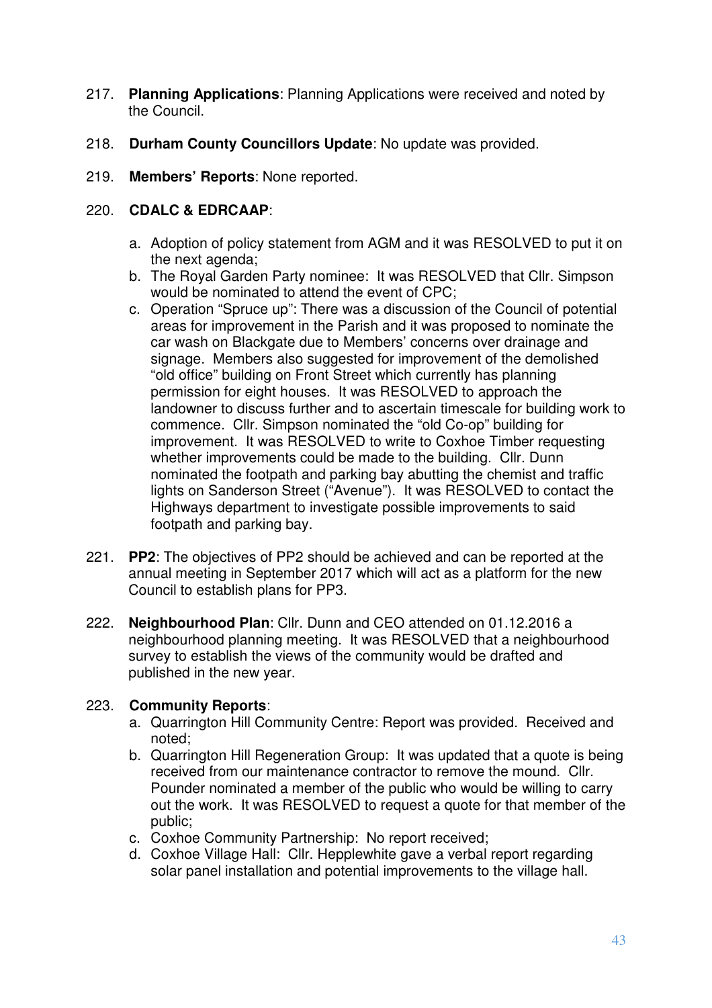- 217. **Planning Applications**: Planning Applications were received and noted by the Council.
- 218. **Durham County Councillors Update**: No update was provided.
- 219. **Members' Reports**: None reported.

#### 220. **CDALC & EDRCAAP**:

- a. Adoption of policy statement from AGM and it was RESOLVED to put it on the next agenda;
- b. The Royal Garden Party nominee: It was RESOLVED that Cllr. Simpson would be nominated to attend the event of CPC;
- c. Operation "Spruce up": There was a discussion of the Council of potential areas for improvement in the Parish and it was proposed to nominate the car wash on Blackgate due to Members' concerns over drainage and signage. Members also suggested for improvement of the demolished "old office" building on Front Street which currently has planning permission for eight houses. It was RESOLVED to approach the landowner to discuss further and to ascertain timescale for building work to commence. Cllr. Simpson nominated the "old Co-op" building for improvement. It was RESOLVED to write to Coxhoe Timber requesting whether improvements could be made to the building. Cllr. Dunn nominated the footpath and parking bay abutting the chemist and traffic lights on Sanderson Street ("Avenue"). It was RESOLVED to contact the Highways department to investigate possible improvements to said footpath and parking bay.
- 221. **PP2**: The objectives of PP2 should be achieved and can be reported at the annual meeting in September 2017 which will act as a platform for the new Council to establish plans for PP3.
- 222. **Neighbourhood Plan**: Cllr. Dunn and CEO attended on 01.12.2016 a neighbourhood planning meeting. It was RESOLVED that a neighbourhood survey to establish the views of the community would be drafted and published in the new year.

### 223. **Community Reports**:

- a. Quarrington Hill Community Centre: Report was provided. Received and noted;
- b. Quarrington Hill Regeneration Group: It was updated that a quote is being received from our maintenance contractor to remove the mound. Cllr. Pounder nominated a member of the public who would be willing to carry out the work. It was RESOLVED to request a quote for that member of the public;
- c. Coxhoe Community Partnership: No report received;
- d. Coxhoe Village Hall: Cllr. Hepplewhite gave a verbal report regarding solar panel installation and potential improvements to the village hall.